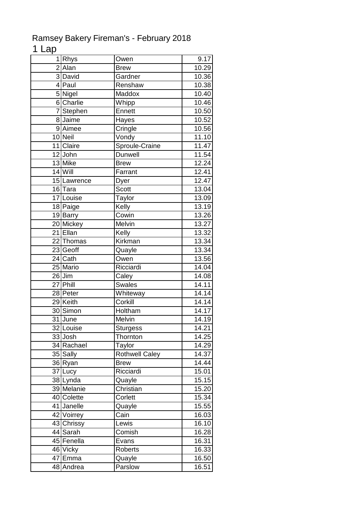## Ramsey Bakery Fireman's - February 2018

## 1 Lap

| $\overline{2}$<br>10.29<br>Alan<br><b>Brew</b><br>3David<br>10.36<br>Gardner<br>10.38<br>4 Paul<br>Renshaw<br>5 Nigel<br><b>Maddox</b><br>10.40<br>6 Charlie<br>Whipp<br>10.46<br>7Stephen<br>10.50<br>Ennett<br>8 Jaime<br>10.52<br>Hayes<br>9 Aimee<br>10.56<br>Cringle<br>10 Neil<br>Vondy<br>11.10<br>Sproule-Craine<br>11 Claire<br>11.47<br>12 John<br>11.54<br>Dunwell<br>13 Mike<br>$12.\overline{24}$<br><b>Brew</b><br>$14$ Will<br>12.41<br>Farrant<br>12.47<br>15 Lawrence<br>Dyer<br><b>Scott</b><br>16 Tara<br>13.04<br>17 Louise<br>13.09<br>Taylor<br>Kelly<br>13.19<br>18 Paige<br>Cowin<br>19 Barry<br>13.26<br>20 Mickey<br>Melvin<br>13.27<br>21 Ellan<br>Kelly<br>13.32<br>22 Thomas<br>13.34<br>Kirkman<br>23 Geoff<br>13.34<br>Quayle<br>24 Cath<br>Owen<br>13.56<br>25 Mario<br>Ricciardi<br>14.04<br>$26$ Jim<br>Caley<br>14.08<br>27 Phill<br><b>Swales</b><br>14.11<br>28 Peter<br>14.14<br>Whiteway<br>Corkill<br>29 Keith<br>14.14<br>Holtham<br>30 Simon<br>14.17<br>31 June<br>Melvin<br>14.19<br>32 Louise<br>14.21<br><b>Sturgess</b><br>33 Josh<br>Thornton<br>14.25<br>34 Rachael<br>14.29<br>Taylor<br><b>Rothwell Caley</b><br>35 Sally<br>14.37<br>36 Ryan<br><b>Brew</b><br>14.44<br>Ricciardi<br>37 Lucy<br>15.01<br>38 Lynda<br>15.15<br>Quayle<br>Christian<br>39 Melanie<br>15.20<br>40 Colette<br>15.34<br>Corlett<br>Janelle<br>Quayle<br>15.55<br>41<br>42 Voirrey<br>Cain<br>16.03<br>43 Chrissy<br>16.10<br>Lewis<br>44 Sarah<br>16.28<br>Comish<br>45 Fenella<br>16.31<br>Evans<br>16.33<br>46 Vicky<br>Roberts<br>47 Emma<br>Quayle<br>16.50<br>Parslow<br>48 Andrea<br>16.51 | 1 Rhys | Owen | 9.17 |
|---------------------------------------------------------------------------------------------------------------------------------------------------------------------------------------------------------------------------------------------------------------------------------------------------------------------------------------------------------------------------------------------------------------------------------------------------------------------------------------------------------------------------------------------------------------------------------------------------------------------------------------------------------------------------------------------------------------------------------------------------------------------------------------------------------------------------------------------------------------------------------------------------------------------------------------------------------------------------------------------------------------------------------------------------------------------------------------------------------------------------------------------------------------------------------------------------------------------------------------------------------------------------------------------------------------------------------------------------------------------------------------------------------------------------------------------------------------------------------------------------------------------------------------------------------------------------------------------------------------------------------|--------|------|------|
|                                                                                                                                                                                                                                                                                                                                                                                                                                                                                                                                                                                                                                                                                                                                                                                                                                                                                                                                                                                                                                                                                                                                                                                                                                                                                                                                                                                                                                                                                                                                                                                                                                 |        |      |      |
|                                                                                                                                                                                                                                                                                                                                                                                                                                                                                                                                                                                                                                                                                                                                                                                                                                                                                                                                                                                                                                                                                                                                                                                                                                                                                                                                                                                                                                                                                                                                                                                                                                 |        |      |      |
|                                                                                                                                                                                                                                                                                                                                                                                                                                                                                                                                                                                                                                                                                                                                                                                                                                                                                                                                                                                                                                                                                                                                                                                                                                                                                                                                                                                                                                                                                                                                                                                                                                 |        |      |      |
|                                                                                                                                                                                                                                                                                                                                                                                                                                                                                                                                                                                                                                                                                                                                                                                                                                                                                                                                                                                                                                                                                                                                                                                                                                                                                                                                                                                                                                                                                                                                                                                                                                 |        |      |      |
|                                                                                                                                                                                                                                                                                                                                                                                                                                                                                                                                                                                                                                                                                                                                                                                                                                                                                                                                                                                                                                                                                                                                                                                                                                                                                                                                                                                                                                                                                                                                                                                                                                 |        |      |      |
|                                                                                                                                                                                                                                                                                                                                                                                                                                                                                                                                                                                                                                                                                                                                                                                                                                                                                                                                                                                                                                                                                                                                                                                                                                                                                                                                                                                                                                                                                                                                                                                                                                 |        |      |      |
|                                                                                                                                                                                                                                                                                                                                                                                                                                                                                                                                                                                                                                                                                                                                                                                                                                                                                                                                                                                                                                                                                                                                                                                                                                                                                                                                                                                                                                                                                                                                                                                                                                 |        |      |      |
|                                                                                                                                                                                                                                                                                                                                                                                                                                                                                                                                                                                                                                                                                                                                                                                                                                                                                                                                                                                                                                                                                                                                                                                                                                                                                                                                                                                                                                                                                                                                                                                                                                 |        |      |      |
|                                                                                                                                                                                                                                                                                                                                                                                                                                                                                                                                                                                                                                                                                                                                                                                                                                                                                                                                                                                                                                                                                                                                                                                                                                                                                                                                                                                                                                                                                                                                                                                                                                 |        |      |      |
|                                                                                                                                                                                                                                                                                                                                                                                                                                                                                                                                                                                                                                                                                                                                                                                                                                                                                                                                                                                                                                                                                                                                                                                                                                                                                                                                                                                                                                                                                                                                                                                                                                 |        |      |      |
|                                                                                                                                                                                                                                                                                                                                                                                                                                                                                                                                                                                                                                                                                                                                                                                                                                                                                                                                                                                                                                                                                                                                                                                                                                                                                                                                                                                                                                                                                                                                                                                                                                 |        |      |      |
|                                                                                                                                                                                                                                                                                                                                                                                                                                                                                                                                                                                                                                                                                                                                                                                                                                                                                                                                                                                                                                                                                                                                                                                                                                                                                                                                                                                                                                                                                                                                                                                                                                 |        |      |      |
|                                                                                                                                                                                                                                                                                                                                                                                                                                                                                                                                                                                                                                                                                                                                                                                                                                                                                                                                                                                                                                                                                                                                                                                                                                                                                                                                                                                                                                                                                                                                                                                                                                 |        |      |      |
|                                                                                                                                                                                                                                                                                                                                                                                                                                                                                                                                                                                                                                                                                                                                                                                                                                                                                                                                                                                                                                                                                                                                                                                                                                                                                                                                                                                                                                                                                                                                                                                                                                 |        |      |      |
|                                                                                                                                                                                                                                                                                                                                                                                                                                                                                                                                                                                                                                                                                                                                                                                                                                                                                                                                                                                                                                                                                                                                                                                                                                                                                                                                                                                                                                                                                                                                                                                                                                 |        |      |      |
|                                                                                                                                                                                                                                                                                                                                                                                                                                                                                                                                                                                                                                                                                                                                                                                                                                                                                                                                                                                                                                                                                                                                                                                                                                                                                                                                                                                                                                                                                                                                                                                                                                 |        |      |      |
|                                                                                                                                                                                                                                                                                                                                                                                                                                                                                                                                                                                                                                                                                                                                                                                                                                                                                                                                                                                                                                                                                                                                                                                                                                                                                                                                                                                                                                                                                                                                                                                                                                 |        |      |      |
|                                                                                                                                                                                                                                                                                                                                                                                                                                                                                                                                                                                                                                                                                                                                                                                                                                                                                                                                                                                                                                                                                                                                                                                                                                                                                                                                                                                                                                                                                                                                                                                                                                 |        |      |      |
|                                                                                                                                                                                                                                                                                                                                                                                                                                                                                                                                                                                                                                                                                                                                                                                                                                                                                                                                                                                                                                                                                                                                                                                                                                                                                                                                                                                                                                                                                                                                                                                                                                 |        |      |      |
|                                                                                                                                                                                                                                                                                                                                                                                                                                                                                                                                                                                                                                                                                                                                                                                                                                                                                                                                                                                                                                                                                                                                                                                                                                                                                                                                                                                                                                                                                                                                                                                                                                 |        |      |      |
|                                                                                                                                                                                                                                                                                                                                                                                                                                                                                                                                                                                                                                                                                                                                                                                                                                                                                                                                                                                                                                                                                                                                                                                                                                                                                                                                                                                                                                                                                                                                                                                                                                 |        |      |      |
|                                                                                                                                                                                                                                                                                                                                                                                                                                                                                                                                                                                                                                                                                                                                                                                                                                                                                                                                                                                                                                                                                                                                                                                                                                                                                                                                                                                                                                                                                                                                                                                                                                 |        |      |      |
|                                                                                                                                                                                                                                                                                                                                                                                                                                                                                                                                                                                                                                                                                                                                                                                                                                                                                                                                                                                                                                                                                                                                                                                                                                                                                                                                                                                                                                                                                                                                                                                                                                 |        |      |      |
|                                                                                                                                                                                                                                                                                                                                                                                                                                                                                                                                                                                                                                                                                                                                                                                                                                                                                                                                                                                                                                                                                                                                                                                                                                                                                                                                                                                                                                                                                                                                                                                                                                 |        |      |      |
|                                                                                                                                                                                                                                                                                                                                                                                                                                                                                                                                                                                                                                                                                                                                                                                                                                                                                                                                                                                                                                                                                                                                                                                                                                                                                                                                                                                                                                                                                                                                                                                                                                 |        |      |      |
|                                                                                                                                                                                                                                                                                                                                                                                                                                                                                                                                                                                                                                                                                                                                                                                                                                                                                                                                                                                                                                                                                                                                                                                                                                                                                                                                                                                                                                                                                                                                                                                                                                 |        |      |      |
|                                                                                                                                                                                                                                                                                                                                                                                                                                                                                                                                                                                                                                                                                                                                                                                                                                                                                                                                                                                                                                                                                                                                                                                                                                                                                                                                                                                                                                                                                                                                                                                                                                 |        |      |      |
|                                                                                                                                                                                                                                                                                                                                                                                                                                                                                                                                                                                                                                                                                                                                                                                                                                                                                                                                                                                                                                                                                                                                                                                                                                                                                                                                                                                                                                                                                                                                                                                                                                 |        |      |      |
|                                                                                                                                                                                                                                                                                                                                                                                                                                                                                                                                                                                                                                                                                                                                                                                                                                                                                                                                                                                                                                                                                                                                                                                                                                                                                                                                                                                                                                                                                                                                                                                                                                 |        |      |      |
|                                                                                                                                                                                                                                                                                                                                                                                                                                                                                                                                                                                                                                                                                                                                                                                                                                                                                                                                                                                                                                                                                                                                                                                                                                                                                                                                                                                                                                                                                                                                                                                                                                 |        |      |      |
|                                                                                                                                                                                                                                                                                                                                                                                                                                                                                                                                                                                                                                                                                                                                                                                                                                                                                                                                                                                                                                                                                                                                                                                                                                                                                                                                                                                                                                                                                                                                                                                                                                 |        |      |      |
|                                                                                                                                                                                                                                                                                                                                                                                                                                                                                                                                                                                                                                                                                                                                                                                                                                                                                                                                                                                                                                                                                                                                                                                                                                                                                                                                                                                                                                                                                                                                                                                                                                 |        |      |      |
|                                                                                                                                                                                                                                                                                                                                                                                                                                                                                                                                                                                                                                                                                                                                                                                                                                                                                                                                                                                                                                                                                                                                                                                                                                                                                                                                                                                                                                                                                                                                                                                                                                 |        |      |      |
|                                                                                                                                                                                                                                                                                                                                                                                                                                                                                                                                                                                                                                                                                                                                                                                                                                                                                                                                                                                                                                                                                                                                                                                                                                                                                                                                                                                                                                                                                                                                                                                                                                 |        |      |      |
|                                                                                                                                                                                                                                                                                                                                                                                                                                                                                                                                                                                                                                                                                                                                                                                                                                                                                                                                                                                                                                                                                                                                                                                                                                                                                                                                                                                                                                                                                                                                                                                                                                 |        |      |      |
|                                                                                                                                                                                                                                                                                                                                                                                                                                                                                                                                                                                                                                                                                                                                                                                                                                                                                                                                                                                                                                                                                                                                                                                                                                                                                                                                                                                                                                                                                                                                                                                                                                 |        |      |      |
|                                                                                                                                                                                                                                                                                                                                                                                                                                                                                                                                                                                                                                                                                                                                                                                                                                                                                                                                                                                                                                                                                                                                                                                                                                                                                                                                                                                                                                                                                                                                                                                                                                 |        |      |      |
|                                                                                                                                                                                                                                                                                                                                                                                                                                                                                                                                                                                                                                                                                                                                                                                                                                                                                                                                                                                                                                                                                                                                                                                                                                                                                                                                                                                                                                                                                                                                                                                                                                 |        |      |      |
|                                                                                                                                                                                                                                                                                                                                                                                                                                                                                                                                                                                                                                                                                                                                                                                                                                                                                                                                                                                                                                                                                                                                                                                                                                                                                                                                                                                                                                                                                                                                                                                                                                 |        |      |      |
|                                                                                                                                                                                                                                                                                                                                                                                                                                                                                                                                                                                                                                                                                                                                                                                                                                                                                                                                                                                                                                                                                                                                                                                                                                                                                                                                                                                                                                                                                                                                                                                                                                 |        |      |      |
|                                                                                                                                                                                                                                                                                                                                                                                                                                                                                                                                                                                                                                                                                                                                                                                                                                                                                                                                                                                                                                                                                                                                                                                                                                                                                                                                                                                                                                                                                                                                                                                                                                 |        |      |      |
|                                                                                                                                                                                                                                                                                                                                                                                                                                                                                                                                                                                                                                                                                                                                                                                                                                                                                                                                                                                                                                                                                                                                                                                                                                                                                                                                                                                                                                                                                                                                                                                                                                 |        |      |      |
|                                                                                                                                                                                                                                                                                                                                                                                                                                                                                                                                                                                                                                                                                                                                                                                                                                                                                                                                                                                                                                                                                                                                                                                                                                                                                                                                                                                                                                                                                                                                                                                                                                 |        |      |      |
|                                                                                                                                                                                                                                                                                                                                                                                                                                                                                                                                                                                                                                                                                                                                                                                                                                                                                                                                                                                                                                                                                                                                                                                                                                                                                                                                                                                                                                                                                                                                                                                                                                 |        |      |      |
|                                                                                                                                                                                                                                                                                                                                                                                                                                                                                                                                                                                                                                                                                                                                                                                                                                                                                                                                                                                                                                                                                                                                                                                                                                                                                                                                                                                                                                                                                                                                                                                                                                 |        |      |      |
|                                                                                                                                                                                                                                                                                                                                                                                                                                                                                                                                                                                                                                                                                                                                                                                                                                                                                                                                                                                                                                                                                                                                                                                                                                                                                                                                                                                                                                                                                                                                                                                                                                 |        |      |      |
|                                                                                                                                                                                                                                                                                                                                                                                                                                                                                                                                                                                                                                                                                                                                                                                                                                                                                                                                                                                                                                                                                                                                                                                                                                                                                                                                                                                                                                                                                                                                                                                                                                 |        |      |      |
|                                                                                                                                                                                                                                                                                                                                                                                                                                                                                                                                                                                                                                                                                                                                                                                                                                                                                                                                                                                                                                                                                                                                                                                                                                                                                                                                                                                                                                                                                                                                                                                                                                 |        |      |      |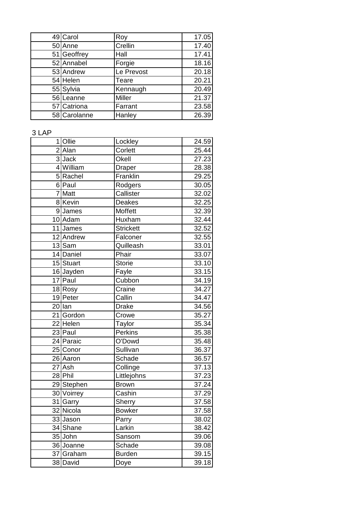| 49 Carol     | Roy           | 17.05 |
|--------------|---------------|-------|
| 50 Anne      | Crellin       | 17.40 |
| 51 Geoffrey  | Hall          | 17.41 |
| 52 Annabel   | Forgie        | 18.16 |
| 53 Andrew    | Le Prevost    | 20.18 |
| 54 Helen     | Teare         | 20.21 |
| 55 Sylvia    | Kennaugh      | 20.49 |
| 56 Leanne    | <b>Miller</b> | 21.37 |
| 57 Catriona  | Farrant       | 23.58 |
| 58 Carolanne | Hanley        | 26.39 |

## 3 LAP

| 1 | <b>Ollie</b> | Lockley          | 24.59 |
|---|--------------|------------------|-------|
|   | 2 Alan       | Corlett          | 25.44 |
|   | 3Jack        | Okell            | 27.23 |
|   | 4 William    | Draper           | 28.38 |
|   | 5 Rachel     | Franklin         | 29.25 |
|   | 6 Paul       | Rodgers          | 30.05 |
| 7 | Matt         | Callister        | 32.02 |
|   | 8 Kevin      | Deakes           | 32.25 |
|   | 9James       | Moffett          | 32.39 |
|   | 10 Adam      | Huxham           | 32.44 |
|   | 11 James     | <b>Strickett</b> | 32.52 |
|   | 12 Andrew    | Falconer         | 32.55 |
|   | 13 Sam       | Quilleash        | 33.01 |
|   | 14 Daniel    | Phair            | 33.07 |
|   | 15 Stuart    | <b>Storie</b>    | 33.10 |
|   | 16 Jayden    | Fayle            | 33.15 |
|   | 17 Paul      | Cubbon           | 34.19 |
|   | 18 Rosy      | Craine           | 34.27 |
|   | 19 Peter     | Callin           | 34.47 |
|   | $20$  lan    | <b>Drake</b>     | 34.56 |
|   | 21 Gordon    | Crowe            | 35.27 |
|   | 22 Helen     | Taylor           | 35.34 |
|   | 23 Paul      | Perkins          | 35.38 |
|   | 24 Paraic    | O'Dowd           | 35.48 |
|   | 25 Conor     | Sullivan         | 36.37 |
|   | 26 Aaron     | Schade           | 36.57 |
|   | 27 Ash       | Collinge         | 37.13 |
|   | 28 Phil      | Littlejohns      | 37.23 |
|   | 29 Stephen   | <b>Brown</b>     | 37.24 |
|   | 30 Voirrey   | Cashin           | 37.29 |
|   | 31 Garry     | <b>Sherry</b>    | 37.58 |
|   | 32 Nicola    | <b>Bowker</b>    | 37.58 |
|   | 33 Jason     | Parry            | 38.02 |
|   | 34 Shane     | Larkin           | 38.42 |
|   | 35 John      | Sansom           | 39.06 |
|   | 36 Joanne    | Schade           | 39.08 |
|   | 37 Graham    | <b>Burden</b>    | 39.15 |
|   | 38 David     | Doye             | 39.18 |